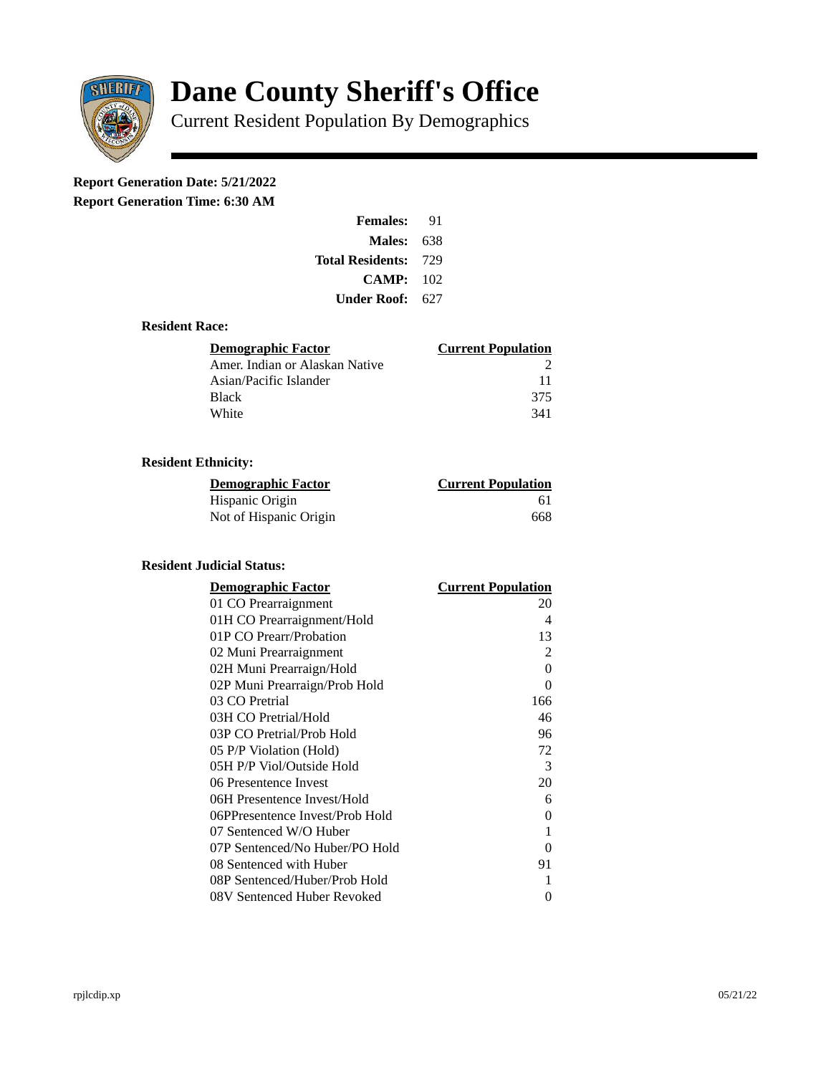

# **Dane County Sheriff's Office**

Current Resident Population By Demographics

# **Report Generation Date: 5/21/2022**

**Report Generation Time: 6:30 AM** 

| <b>Females:</b>         | 91   |
|-------------------------|------|
| Males:                  | 638  |
| <b>Total Residents:</b> | -729 |
| CAMP:                   | 102  |
| Under Roof:             | 627  |

### **Resident Race:**

| Demographic Factor             | <b>Current Population</b> |
|--------------------------------|---------------------------|
| Amer. Indian or Alaskan Native |                           |
| Asian/Pacific Islander         | 11                        |
| <b>Black</b>                   | 375                       |
| White                          | 341                       |

## **Resident Ethnicity:**

| <u>Demographic Factor</u> | <u>Current Population</u> |
|---------------------------|---------------------------|
| Hispanic Origin           | 61                        |
| Not of Hispanic Origin    | 668                       |

### **Resident Judicial Status:**

| <b>Demographic Factor</b>       | <b>Current Population</b> |
|---------------------------------|---------------------------|
| 01 CO Prearraignment            | 20                        |
| 01H CO Prearraignment/Hold      | 4                         |
| 01P CO Prearr/Probation         | 13                        |
| 02 Muni Prearraignment          | 2                         |
| 02H Muni Prearraign/Hold        | $\Omega$                  |
| 02P Muni Prearraign/Prob Hold   | 0                         |
| 03 CO Pretrial                  | 166                       |
| 03H CO Pretrial/Hold            | 46                        |
| 03P CO Pretrial/Prob Hold       | 96                        |
| 05 P/P Violation (Hold)         | 72                        |
| 05H P/P Viol/Outside Hold       | 3                         |
| 06 Presentence Invest           | 20                        |
| 06H Presentence Invest/Hold     | 6                         |
| 06PPresentence Invest/Prob Hold | 0                         |
| 07 Sentenced W/O Huber          | 1                         |
| 07P Sentenced/No Huber/PO Hold  | 0                         |
| 08 Sentenced with Huber         | 91                        |
| 08P Sentenced/Huber/Prob Hold   | 1                         |
| 08V Sentenced Huber Revoked     | 0                         |